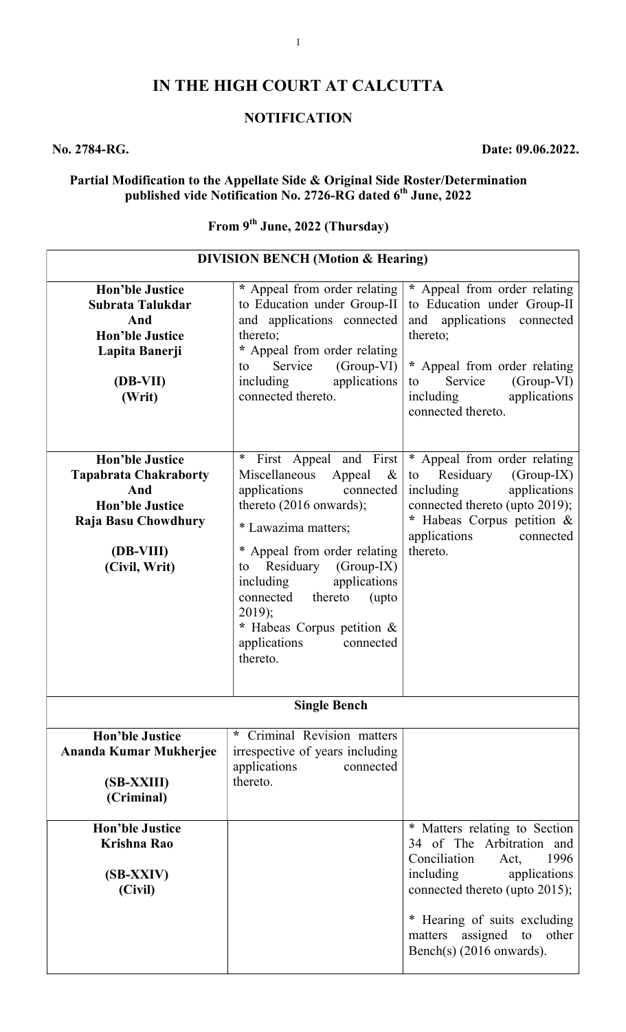## IN THE HIGH COURT AT CALCUTTA

## **NOTIFICATION**

### No. 2784-RG. Date: 09.06.2022.

 $\overline{\phantom{a}}$ 

#### Partial Modification to the Appellate Side & Original Side Roster/Determination published vide Notification No. 2726-RG dated 6<sup>th</sup> June, 2022

## From 9<sup>th</sup> June, 2022 (Thursday)

| <b>Hon'ble Justice</b><br>Subrata Talukdar<br>And<br><b>Hon'ble Justice</b><br>Lapita Banerji<br>(DB-VII)<br>(Writ)                          | * Appeal from order relating<br>to Education under Group-II<br>and applications connected<br>thereto;<br>* Appeal from order relating<br>Service<br>$(Group-VI)$<br>to<br>applications<br>including<br>connected thereto.                                                                                                                                      | * Appeal from order relating<br>to Education under Group-II<br>and applications connected<br>thereto;<br>* Appeal from order relating<br>Service<br>(Group-VI)<br>to<br>including<br>applications<br>connected thereto.                                     |  |
|----------------------------------------------------------------------------------------------------------------------------------------------|----------------------------------------------------------------------------------------------------------------------------------------------------------------------------------------------------------------------------------------------------------------------------------------------------------------------------------------------------------------|-------------------------------------------------------------------------------------------------------------------------------------------------------------------------------------------------------------------------------------------------------------|--|
| <b>Hon'ble Justice</b><br><b>Tapabrata Chakraborty</b><br>And<br><b>Hon'ble Justice</b><br>Raja Basu Chowdhury<br>(DB-VIII)<br>(Civil, Writ) | $\ast$<br>First Appeal and First<br>Miscellaneous<br>Appeal<br>$\&$<br>applications<br>connected<br>thereto (2016 onwards);<br>* Lawazima matters;<br>* Appeal from order relating<br>Residuary (Group-IX)<br>to<br>applications<br>including<br>connected thereto<br>(upto<br>$2019$ ;<br>* Habeas Corpus petition &<br>applications<br>connected<br>thereto. | * Appeal from order relating<br>Residuary<br>$(Group-IX)$<br>to<br>applications<br>including<br>connected thereto (upto 2019);<br>* Habeas Corpus petition &<br>applications<br>connected<br>thereto.                                                       |  |
| <b>Single Bench</b>                                                                                                                          |                                                                                                                                                                                                                                                                                                                                                                |                                                                                                                                                                                                                                                             |  |
| <b>Hon'ble Justice</b><br>Ananda Kumar Mukherjee<br>(SB-XXIII)<br>(Criminal)                                                                 | Criminal Revision matters<br>*<br>irrespective of years including<br>applications<br>connected<br>thereto.                                                                                                                                                                                                                                                     |                                                                                                                                                                                                                                                             |  |
| <b>Hon'ble Justice</b><br>Krishna Rao<br>(SB-XXIV)<br>(Civil)                                                                                |                                                                                                                                                                                                                                                                                                                                                                | * Matters relating to Section<br>34 of The Arbitration and<br>Conciliation<br>1996<br>Act,<br>including<br>applications<br>connected thereto (upto 2015);<br>* Hearing of suits excluding<br>assigned<br>other<br>matters<br>to<br>Bench(s) (2016 onwards). |  |

## DIVISION BENCH (Motion & Hearing)